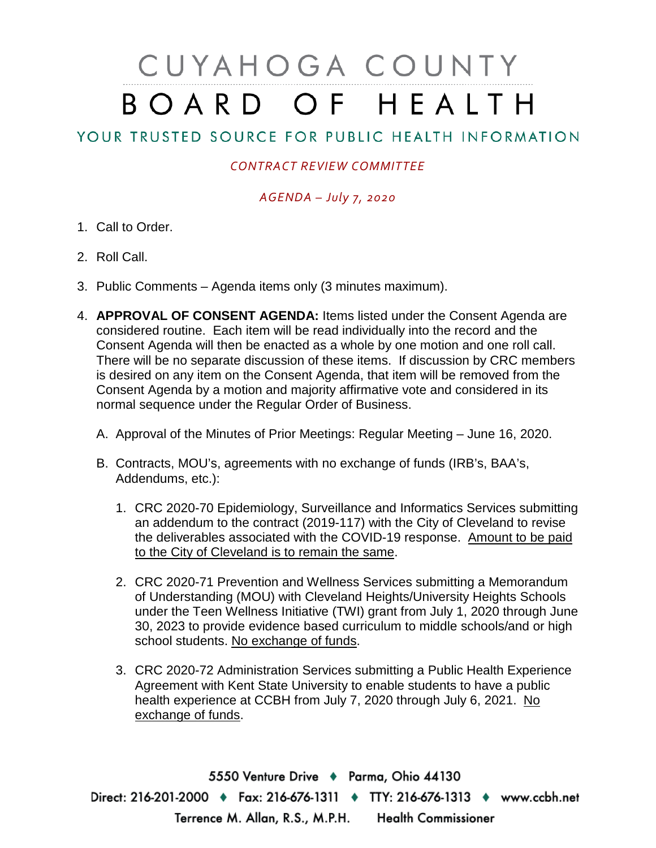# CUYAHOGA COUNTY BOARD OF HEALTH

YOUR TRUSTED SOURCE FOR PUBLIC HEALTH INFORMATION

## *CONTRACT REVIEW COMMITTEE*

## *AGENDA – July 7, 2020*

- 1. Call to Order.
- 2. Roll Call.
- 3. Public Comments Agenda items only (3 minutes maximum).
- 4. **APPROVAL OF CONSENT AGENDA:** Items listed under the Consent Agenda are considered routine. Each item will be read individually into the record and the Consent Agenda will then be enacted as a whole by one motion and one roll call. There will be no separate discussion of these items. If discussion by CRC members is desired on any item on the Consent Agenda, that item will be removed from the Consent Agenda by a motion and majority affirmative vote and considered in its normal sequence under the Regular Order of Business.
	- A. Approval of the Minutes of Prior Meetings: Regular Meeting June 16, 2020.
	- B. Contracts, MOU's, agreements with no exchange of funds (IRB's, BAA's, Addendums, etc.):
		- 1. CRC 2020-70 Epidemiology, Surveillance and Informatics Services submitting an addendum to the contract (2019-117) with the City of Cleveland to revise the deliverables associated with the COVID-19 response. Amount to be paid to the City of Cleveland is to remain the same.
		- 2. CRC 2020-71 Prevention and Wellness Services submitting a Memorandum of Understanding (MOU) with Cleveland Heights/University Heights Schools under the Teen Wellness Initiative (TWI) grant from July 1, 2020 through June 30, 2023 to provide evidence based curriculum to middle schools/and or high school students. No exchange of funds.
		- 3. CRC 2020-72 Administration Services submitting a Public Health Experience Agreement with Kent State University to enable students to have a public health experience at CCBH from July 7, 2020 through July 6, 2021. No exchange of funds.

5550 Venture Drive + Parma, Ohio 44130 Direct: 216-201-2000 ♦ Fax: 216-676-1311 ♦ TTY: 216-676-1313 ♦ www.ccbh.net Terrence M. Allan, R.S., M.P.H. Health Commissioner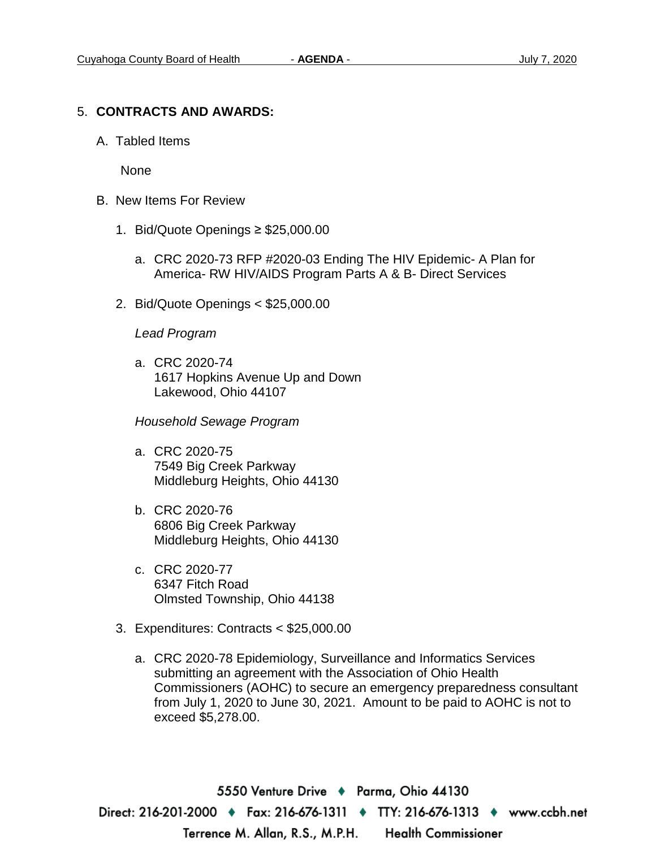#### 5. **CONTRACTS AND AWARDS:**

A. Tabled Items

None

- B. New Items For Review
	- 1. Bid/Quote Openings ≥ \$25,000.00
		- a. CRC 2020-73 RFP #2020-03 Ending The HIV Epidemic- A Plan for America- RW HIV/AIDS Program Parts A & B- Direct Services
	- 2. Bid/Quote Openings < \$25,000.00

#### *Lead Program*

a. CRC 2020-74 1617 Hopkins Avenue Up and Down Lakewood, Ohio 44107

*Household Sewage Program* 

- a. CRC 2020-75 7549 Big Creek Parkway Middleburg Heights, Ohio 44130
- b. CRC 2020-76 6806 Big Creek Parkway Middleburg Heights, Ohio 44130
- c. CRC 2020-77 6347 Fitch Road Olmsted Township, Ohio 44138
- 3. Expenditures: Contracts < \$25,000.00
	- a. CRC 2020-78 Epidemiology, Surveillance and Informatics Services submitting an agreement with the Association of Ohio Health Commissioners (AOHC) to secure an emergency preparedness consultant from July 1, 2020 to June 30, 2021. Amount to be paid to AOHC is not to exceed \$5,278.00.

5550 Venture Drive ♦ Parma, Ohio 44130 Direct: 216-201-2000 • Fax: 216-676-1311 • TTY: 216-676-1313 • www.ccbh.net Terrence M. Allan, R.S., M.P.H. **Health Commissioner**